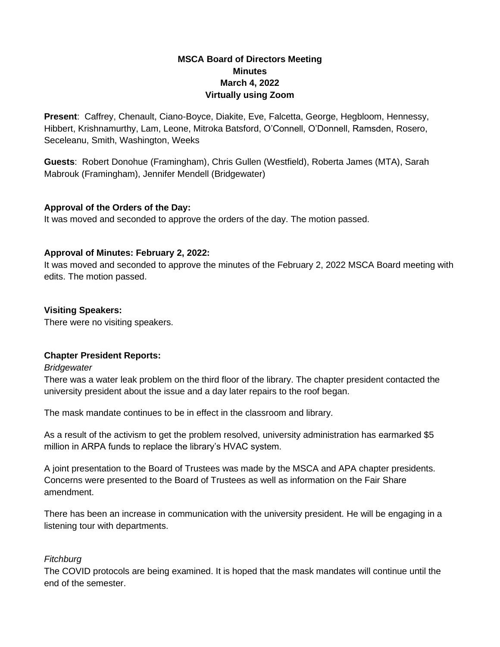# **MSCA Board of Directors Meeting Minutes March 4, 2022 Virtually using Zoom**

**Present**: Caffrey, Chenault, Ciano-Boyce, Diakite, Eve, Falcetta, George, Hegbloom, Hennessy, Hibbert, Krishnamurthy, Lam, Leone, Mitroka Batsford, O'Connell, O'Donnell, Ramsden, Rosero, Seceleanu, Smith, Washington, Weeks

**Guests**: Robert Donohue (Framingham), Chris Gullen (Westfield), Roberta James (MTA), Sarah Mabrouk (Framingham), Jennifer Mendell (Bridgewater)

# **Approval of the Orders of the Day:**

It was moved and seconded to approve the orders of the day. The motion passed.

# **Approval of Minutes: February 2, 2022:**

It was moved and seconded to approve the minutes of the February 2, 2022 MSCA Board meeting with edits. The motion passed.

# **Visiting Speakers:**

There were no visiting speakers.

# **Chapter President Reports:**

# *Bridgewater*

There was a water leak problem on the third floor of the library. The chapter president contacted the university president about the issue and a day later repairs to the roof began.

The mask mandate continues to be in effect in the classroom and library.

As a result of the activism to get the problem resolved, university administration has earmarked \$5 million in ARPA funds to replace the library's HVAC system.

A joint presentation to the Board of Trustees was made by the MSCA and APA chapter presidents. Concerns were presented to the Board of Trustees as well as information on the Fair Share amendment.

There has been an increase in communication with the university president. He will be engaging in a listening tour with departments.

# *Fitchburg*

The COVID protocols are being examined. It is hoped that the mask mandates will continue until the end of the semester.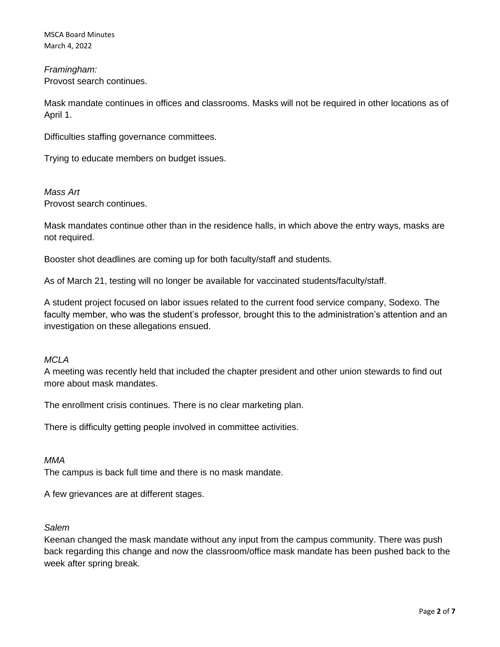*Framingham:* Provost search continues.

Mask mandate continues in offices and classrooms. Masks will not be required in other locations as of April 1.

Difficulties staffing governance committees.

Trying to educate members on budget issues.

*Mass Art* Provost search continues.

Mask mandates continue other than in the residence halls, in which above the entry ways, masks are not required.

Booster shot deadlines are coming up for both faculty/staff and students.

As of March 21, testing will no longer be available for vaccinated students/faculty/staff.

A student project focused on labor issues related to the current food service company, Sodexo. The faculty member, who was the student's professor, brought this to the administration's attention and an investigation on these allegations ensued.

# *MCLA*

A meeting was recently held that included the chapter president and other union stewards to find out more about mask mandates.

The enrollment crisis continues. There is no clear marketing plan.

There is difficulty getting people involved in committee activities.

#### *MMA*

The campus is back full time and there is no mask mandate.

A few grievances are at different stages.

#### *Salem*

Keenan changed the mask mandate without any input from the campus community. There was push back regarding this change and now the classroom/office mask mandate has been pushed back to the week after spring break.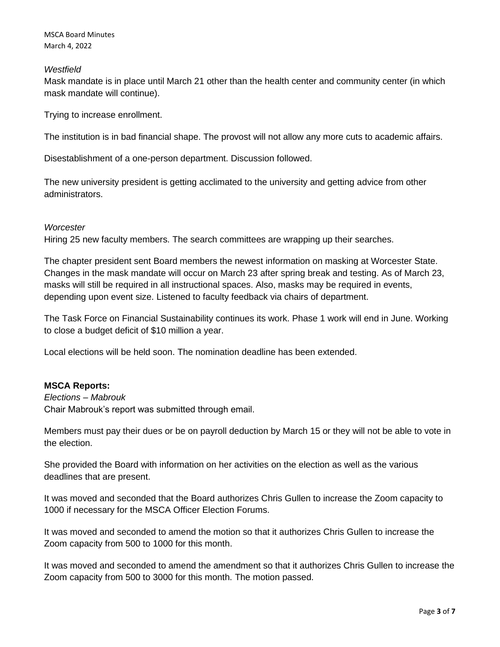#### *Westfield*

Mask mandate is in place until March 21 other than the health center and community center (in which mask mandate will continue).

Trying to increase enrollment.

The institution is in bad financial shape. The provost will not allow any more cuts to academic affairs.

Disestablishment of a one-person department. Discussion followed.

The new university president is getting acclimated to the university and getting advice from other administrators.

#### *Worcester*

Hiring 25 new faculty members. The search committees are wrapping up their searches.

The chapter president sent Board members the newest information on masking at Worcester State. Changes in the mask mandate will occur on March 23 after spring break and testing. As of March 23, masks will still be required in all instructional spaces. Also, masks may be required in events, depending upon event size. Listened to faculty feedback via chairs of department.

The Task Force on Financial Sustainability continues its work. Phase 1 work will end in June. Working to close a budget deficit of \$10 million a year.

Local elections will be held soon. The nomination deadline has been extended.

# **MSCA Reports:**

*Elections – Mabrouk* Chair Mabrouk's report was submitted through email.

Members must pay their dues or be on payroll deduction by March 15 or they will not be able to vote in the election.

She provided the Board with information on her activities on the election as well as the various deadlines that are present.

It was moved and seconded that the Board authorizes Chris Gullen to increase the Zoom capacity to 1000 if necessary for the MSCA Officer Election Forums.

It was moved and seconded to amend the motion so that it authorizes Chris Gullen to increase the Zoom capacity from 500 to 1000 for this month.

It was moved and seconded to amend the amendment so that it authorizes Chris Gullen to increase the Zoom capacity from 500 to 3000 for this month. The motion passed.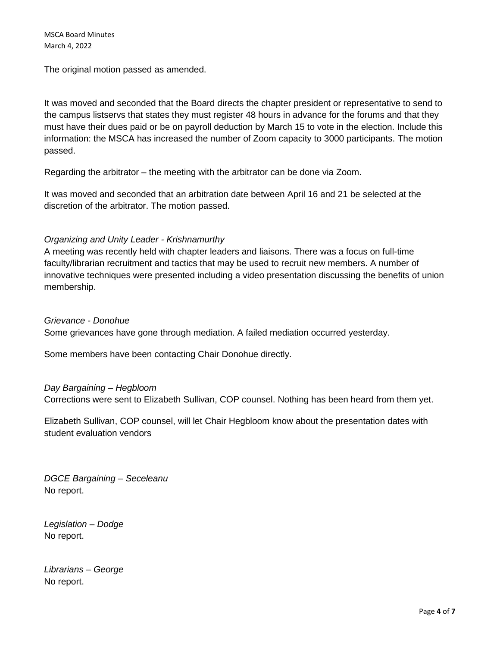The original motion passed as amended.

It was moved and seconded that the Board directs the chapter president or representative to send to the campus listservs that states they must register 48 hours in advance for the forums and that they must have their dues paid or be on payroll deduction by March 15 to vote in the election. Include this information: the MSCA has increased the number of Zoom capacity to 3000 participants. The motion passed.

Regarding the arbitrator – the meeting with the arbitrator can be done via Zoom.

It was moved and seconded that an arbitration date between April 16 and 21 be selected at the discretion of the arbitrator. The motion passed.

# *Organizing and Unity Leader - Krishnamurthy*

A meeting was recently held with chapter leaders and liaisons. There was a focus on full-time faculty/librarian recruitment and tactics that may be used to recruit new members. A number of innovative techniques were presented including a video presentation discussing the benefits of union membership.

#### *Grievance - Donohue*

Some grievances have gone through mediation. A failed mediation occurred yesterday.

Some members have been contacting Chair Donohue directly.

#### *Day Bargaining – Hegbloom*

Corrections were sent to Elizabeth Sullivan, COP counsel. Nothing has been heard from them yet.

Elizabeth Sullivan, COP counsel, will let Chair Hegbloom know about the presentation dates with student evaluation vendors

*DGCE Bargaining – Seceleanu* No report.

*Legislation – Dodge* No report.

*Librarians – George* No report.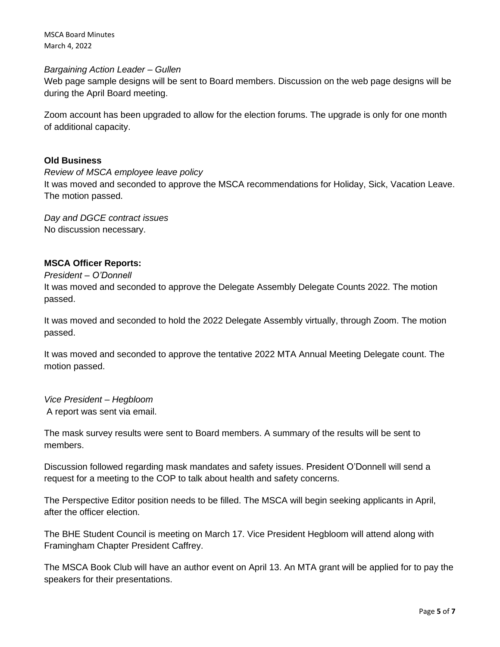#### *Bargaining Action Leader – Gullen*

Web page sample designs will be sent to Board members. Discussion on the web page designs will be during the April Board meeting.

Zoom account has been upgraded to allow for the election forums. The upgrade is only for one month of additional capacity.

#### **Old Business**

*Review of MSCA employee leave policy* It was moved and seconded to approve the MSCA recommendations for Holiday, Sick, Vacation Leave. The motion passed.

*Day and DGCE contract issues* No discussion necessary.

#### **MSCA Officer Reports:**

*President – O'Donnell*

It was moved and seconded to approve the Delegate Assembly Delegate Counts 2022. The motion passed.

It was moved and seconded to hold the 2022 Delegate Assembly virtually, through Zoom. The motion passed.

It was moved and seconded to approve the tentative 2022 MTA Annual Meeting Delegate count. The motion passed.

*Vice President – Hegbloom* A report was sent via email.

The mask survey results were sent to Board members. A summary of the results will be sent to members.

Discussion followed regarding mask mandates and safety issues. President O'Donnell will send a request for a meeting to the COP to talk about health and safety concerns.

The Perspective Editor position needs to be filled. The MSCA will begin seeking applicants in April, after the officer election.

The BHE Student Council is meeting on March 17. Vice President Hegbloom will attend along with Framingham Chapter President Caffrey.

The MSCA Book Club will have an author event on April 13. An MTA grant will be applied for to pay the speakers for their presentations.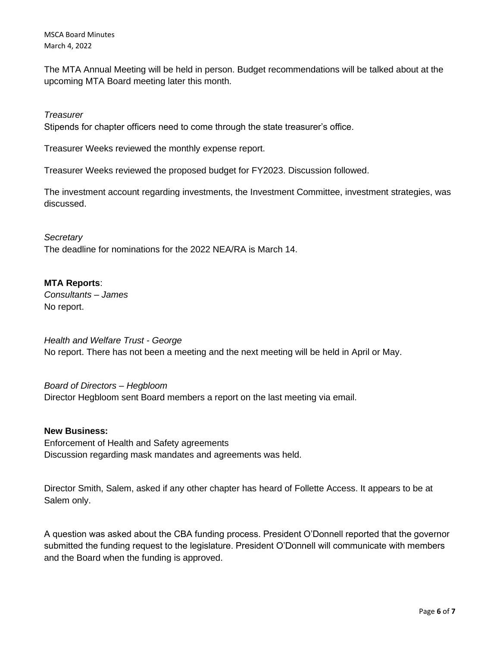The MTA Annual Meeting will be held in person. Budget recommendations will be talked about at the upcoming MTA Board meeting later this month.

*Treasurer*

Stipends for chapter officers need to come through the state treasurer's office.

Treasurer Weeks reviewed the monthly expense report.

Treasurer Weeks reviewed the proposed budget for FY2023. Discussion followed.

The investment account regarding investments, the Investment Committee, investment strategies, was discussed.

*Secretary* The deadline for nominations for the 2022 NEA/RA is March 14.

#### **MTA Reports**:

*Consultants – James*  No report.

*Health and Welfare Trust - George* No report. There has not been a meeting and the next meeting will be held in April or May.

*Board of Directors – Hegbloom* Director Hegbloom sent Board members a report on the last meeting via email.

#### **New Business:**

Enforcement of Health and Safety agreements Discussion regarding mask mandates and agreements was held.

Director Smith, Salem, asked if any other chapter has heard of Follette Access. It appears to be at Salem only.

A question was asked about the CBA funding process. President O'Donnell reported that the governor submitted the funding request to the legislature. President O'Donnell will communicate with members and the Board when the funding is approved.